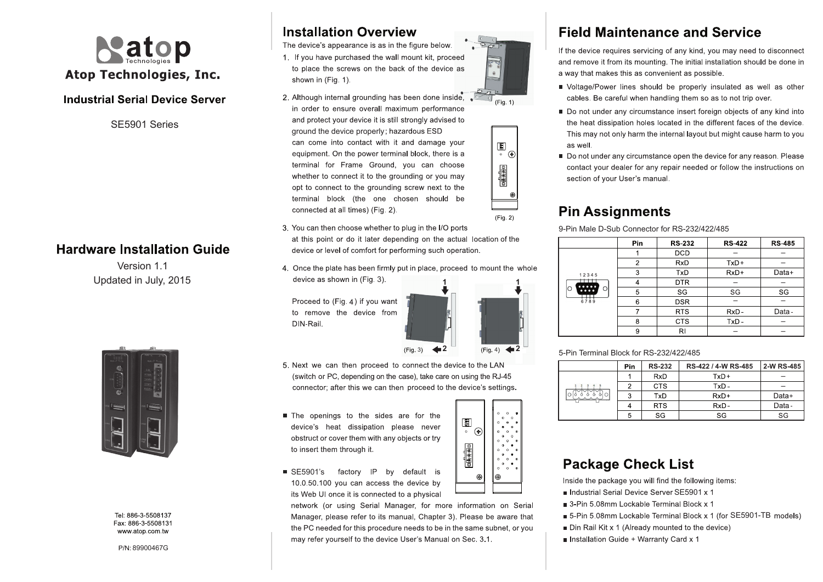

### **Industrial Serial Device Server**

SE5901 Series

### **Hardware Installation Guide**

Updated in July, 2015 Version 1.1



Tel: 886-3-5508137 Fax: 886-3-5508131 www atop com tw

89900467G

## **Installation Overview**

The device's appearance is as in the figure below. 1. If you have purchased the wall mount kit, proceed to place the screws on the back of the device as shown in (Fig. 1).

2. Although internal grounding has been done inside. in order to ensure overall maximum performance and protect your device it is still strongly advised to ground the device properly: hazardous ESD can come into contact with it and damage your equipment. On the power terminal block, there is a terminal for Frame Ground, you can choose whether to connect it to the grounding or you may opt to connect to the grounding screw next to the terminal block (the one chosen should be connected at all times) (Fig. 2).



 $(Fia, 1)$ 

 $(Fig. 2)$ 

3. You can then choose whether to plug in the I/O ports at this point or do it later depending on the actual location of the device or level of comfort for performing such operation.

4. Once the plate has been firmly put in place, proceed to mount the whole device as shown in (Fig. 3). **1**

Proceed to (Fig. 4) if you want to remove the device from DIN-Rail



圖

**OFF # NO** 

 $\hat{\bullet}$  $\sim$ 

 $^{\circ}$ 

**2**

- 5. Next we can then proceed to connect the device to the LAN (switch or PC, depending on the case), take care on using the RJ-45 connector; after this we can then proceed to the device's settings.
- The openings to the sides are for the device's heat dissipation please never obstruct or cover them with any objects or try to insert them through it.
- SE5901's factory IP by default is 10.0.50.100 you can access the device by its Web UI once it is connected to a physical

network (or using Serial Manager, for more information on Serial Manager, please refer to its manual. Chapter 3). Please be aware that the PC needed for this procedure needs to be in the same subnet, or you may refer yourself to the device User's Manual on Sec. 3.1.

# **Field Maintenance and Service**

If the device requires servicing of any kind, you may need to disconnect and remove it from its mounting. The initial installation should be done in a way that makes this as convenient as possible.

- Voltage/Power lines should be properly insulated as well as other cables. Be careful when handling them so as to not trip over.
- Do not under any circumstance insert foreign objects of any kind into the heat dissipation holes located in the different faces of the device. This may not only harm the internal layout but might cause harm to you as well.
- Do not under any circumstance open the device for any reason. Please contact your dealer for any repair needed or follow the instructions on section of your User's manual.

## **Pin Assignments**

9-Pin Male D-Sub Connector for RS-232/422/485

|                              | Pin | <b>RS-232</b> | <b>RS-422</b> | <b>RS-485</b> |
|------------------------------|-----|---------------|---------------|---------------|
| 12345<br>.<br>O<br>O<br>6789 |     | <b>DCD</b>    |               |               |
|                              | 2   | <b>RxD</b>    | $TxD+$        |               |
|                              | 3   | TxD           | $RxD+$        | Data+         |
|                              | 4   | DTR           |               |               |
|                              | 5   | SG            | SG            | SG            |
|                              | 6   | <b>DSR</b>    |               |               |
|                              |     | <b>RTS</b>    | $RxD -$       | Data-         |
|                              | 8   | <b>CTS</b>    | $TxD -$       |               |
|                              | 9   | RI            |               |               |

#### 5-Pin Terminal Block for RS-232/422/485

|         | Pin | <b>RS-232</b> | RS-422 / 4-W RS-485 | 2-W RS-485 |
|---------|-----|---------------|---------------------|------------|
| $\circ$ |     | <b>RxD</b>    | $TxD+$              |            |
|         | 2   | <b>CTS</b>    | TxD -               |            |
|         | 3   | TxD           | $RxD+$              | Data+      |
|         |     | <b>RTS</b>    | RxD-                | Data-      |
|         | 5   | SG            | SG                  | SG         |

## **Package Check List**

Inside the package you will find the following items:

- Industrial Serial Device Server SE5901 x 1
- 3-Pin 5.08mm Lockable Terminal Block x 1
- 5-Pin 5.08mm Lockable Terminal Block x 1 (for SE5901-TB models)
- Din Rail Kit x 1 (Already mounted to the device)
- Installation Guide + Warranty Card x 1